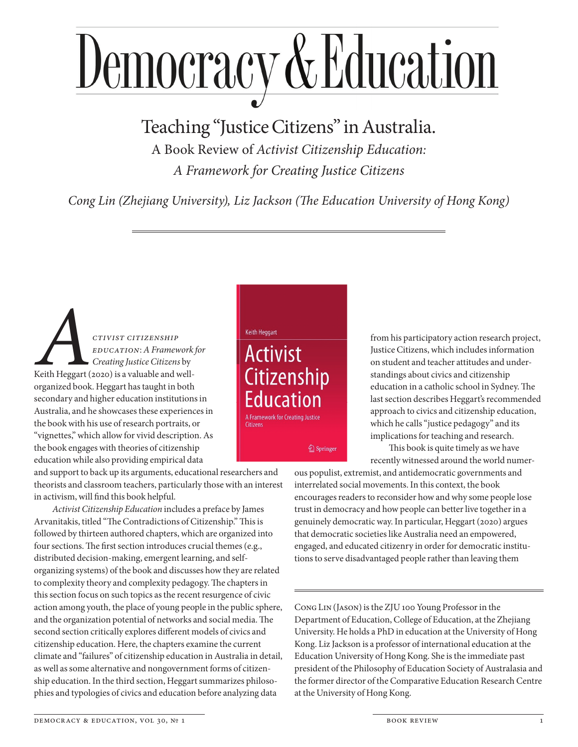## Democracy & Education

Teaching "Justice Citizens" in Australia.

A Book Review of *Activist Citizenship Education: A Framework for Creating Justice Citizens*

*Cong Lin (Zhejiang University), Liz Jackson (The Education University of Hong Kong)* 

*CTIVIST CITIZENSHIP*<br>*EDUCATION: A Framew*<br>*Creating Justice Citizens*<br>*Action Action Action Creating Justice Citizens Education*: *A Framework for Creating Justice Citizens* by Keith Heggart (2020) is a valuable and wellorganized book. Heggart has taught in both secondary and higher education institutions in Australia, and he showcases these experiences in the book with his use of research portraits, or "vignettes," which allow for vivid description. As the book engages with theories of citizenship education while also providing empirical data

and support to back up its arguments, educational researchers and theorists and classroom teachers, particularly those with an interest in activism, will find this book helpful.

*Activist Citizenship Education* includes a preface by James Arvanitakis, titled "The Contradictions of Citizenship." This is followed by thirteen authored chapters, which are organized into four sections. The first section introduces crucial themes (e.g., distributed decision- making, emergent learning, and selforganizing systems) of the book and discusses how they are related to complexity theory and complexity pedagogy. The chapters in this section focus on such topics as the recent resurgence of civic action among youth, the place of young people in the public sphere, and the organization potential of networks and social media. The second section critically explores different models of civics and citizenship education. Here, the chapters examine the current climate and "failures" of citizenship education in Australia in detail, as well as some alternative and nongovernment forms of citizenship education. In the third section, Heggart summarizes philosophies and typologies of civics and education before analyzing data

**Keith Heggart** 

**Activist Citizenship** Education A Framework for Creating Justice **Citizens** *A* Springer

from his participatory action research project, Justice Citizens, which includes information on student and teacher attitudes and understandings about civics and citizenship education in a catholic school in Sydney. The last section describes Heggart's recommended approach to civics and citizenship education, which he calls "justice pedagogy" and its implications for teaching and research. This book is quite timely as we have

recently witnessed around the world numer-

ous populist, extremist, and antidemocratic governments and interrelated social movements. In this context, the book encourages readers to reconsider how and why some people lose trust in democracy and how people can better live together in a genuinely democratic way. In particular, Heggart (2020) argues that democratic societies like Australia need an empowered, engaged, and educated citizenry in order for democratic institutions to serve disadvantaged people rather than leaving them

Cong Lin (Jason) is the ZJU 100 Young Professor in the Department of Education, College of Education, at the Zhejiang University. He holds a PhD in education at the University of Hong Kong. Liz Jackson is a professor of international education at the Education University of Hong Kong. She is the immediate past president of the Philosophy of Education Society of Australasia and the former director of the Comparative Education Research Centre at the University of Hong Kong.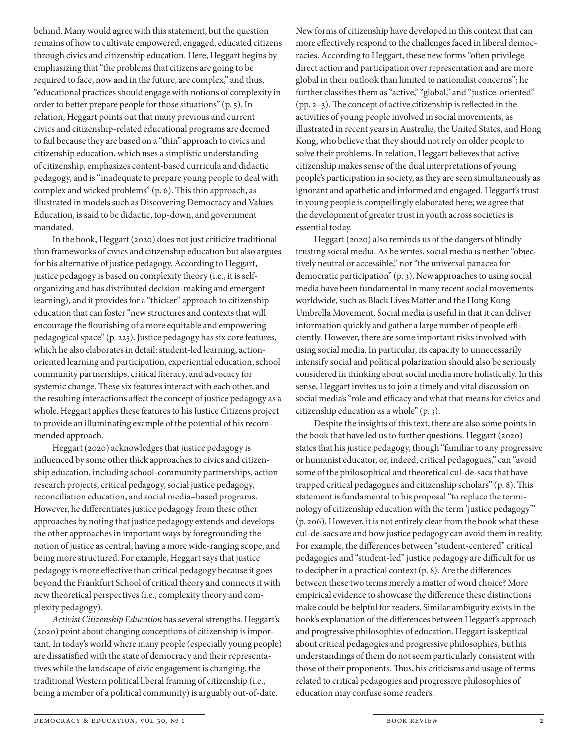behind. Many would agree with this statement, but the question remains of how to cultivate empowered, engaged, educated citizens through civics and citizenship education. Here, Heggart begins by emphasizing that "the problems that citizens are going to be required to face, now and in the future, are complex," and thus, "educational practices should engage with notions of complexity in order to better prepare people for those situations" (p. 5). In relation, Heggart points out that many previous and current civics and citizenship-related educational programs are deemed to fail because they are based on a "thin" approach to civics and citizenship education, which uses a simplistic understanding of citizenship, emphasizes content-based curricula and didactic pedagogy, and is "inadequate to prepare young people to deal with complex and wicked problems" (p. 6). This thin approach, as illustrated in models such as Discovering Democracy and Values Education, is said to be didactic, top-down, and government mandated.

In the book, Heggart (2020) does not just criticize traditional thin frameworks of civics and citizenship education but also argues for his alternative of justice pedagogy. According to Heggart, justice pedagogy is based on complexity theory (i.e., it is selforganizing and has distributed decision-making and emergent learning), and it provides for a "thicker" approach to citizenship education that can foster "new structures and contexts that will encourage the flourishing of a more equitable and empowering pedagogical space" (p. 225). Justice pedagogy has six core features, which he also elaborates in detail: student-led learning, actionoriented learning and participation, experiential education, school community partnerships, critical literacy, and advocacy for systemic change. These six features interact with each other, and the resulting interactions affect the concept of justice pedagogy as a whole. Heggart applies these features to his Justice Citizens project to provide an illuminating example of the potential of his recommended approach.

Heggart (2020) acknowledges that justice pedagogy is influenced by some other thick approaches to civics and citizenship education, including school-community partnerships, action research projects, critical pedagogy, social justice pedagogy, reconciliation education, and social media–based programs. However, he differentiates justice pedagogy from these other approaches by noting that justice pedagogy extends and develops the other approaches in important ways by foregrounding the notion of justice as central, having a more wide-ranging scope, and being more structured. For example, Heggart says that justice pedagogy is more effective than critical pedagogy because it goes beyond the Frankfurt School of critical theory and connects it with new theoretical perspectives (i.e., complexity theory and complexity pedagogy).

*Activist Citizenship Education* has several strengths. Heggart's (2020) point about changing conceptions of citizenship is important. In today's world where many people (especially young people) are dissatisfied with the state of democracy and their representatives while the landscape of civic engagement is changing, the traditional Western political liberal framing of citizenship (i.e., being a member of a political community) is arguably out-of-date.

New forms of citizenship have developed in this context that can more effectively respond to the challenges faced in liberal democracies. According to Heggart, these new forms "often privilege direct action and participation over representation and are more global in their outlook than limited to nationalist concerns"; he further classifies them as "active," "global," and "justice-oriented" (pp. 2–3). The concept of active citizenship is reflected in the activities of young people involved in social movements, as illustrated in recent years in Australia, the United States, and Hong Kong, who believe that they should not rely on older people to solve their problems. In relation, Heggart believes that active citizenship makes sense of the dual interpretations of young people's participation in society, as they are seen simultaneously as ignorant and apathetic and informed and engaged. Heggart's trust in young people is compellingly elaborated here; we agree that the development of greater trust in youth across societies is essential today.

Heggart (2020) also reminds us of the dangers of blindly trusting social media. As he writes, social media is neither "objectively neutral or accessible," nor "the universal panacea for democratic participation" (p. 3). New approaches to using social media have been fundamental in many recent social movements worldwide, such as Black Lives Matter and the Hong Kong Umbrella Movement. Social media is useful in that it can deliver information quickly and gather a large number of people efficiently. However, there are some important risks involved with using social media. In particular, its capacity to unnecessarily intensify social and political polarization should also be seriously considered in thinking about social media more holistically. In this sense, Heggart invites us to join a timely and vital discussion on social media's "role and efficacy and what that means for civics and citizenship education as a whole" (p. 3).

Despite the insights of this text, there are also some points in the book that have led us to further questions. Heggart (2020) states that his justice pedagogy, though "familiar to any progressive or humanist educator, or, indeed, critical pedagogues," can "avoid some of the philosophical and theoretical cul-de-sacs that have trapped critical pedagogues and citizenship scholars" (p. 8). This statement is fundamental to his proposal "to replace the terminology of citizenship education with the term 'justice pedagogy'" (p. 206). However, it is not entirely clear from the book what these cul-de-sacs are and how justice pedagogy can avoid them in reality. For example, the differences between "student-centered" critical pedagogies and "student-led" justice pedagogy are difficult for us to decipher in a practical context (p. 8). Are the differences between these two terms merely a matter of word choice? More empirical evidence to showcase the difference these distinctions make could be helpful for readers. Similar ambiguity exists in the book's explanation of the differences between Heggart's approach and progressive philosophies of education. Heggart is skeptical about critical pedagogies and progressive philosophies, but his understandings of them do not seem particularly consistent with those of their proponents. Thus, his criticisms and usage of terms related to critical pedagogies and progressive philosophies of education may confuse some readers.